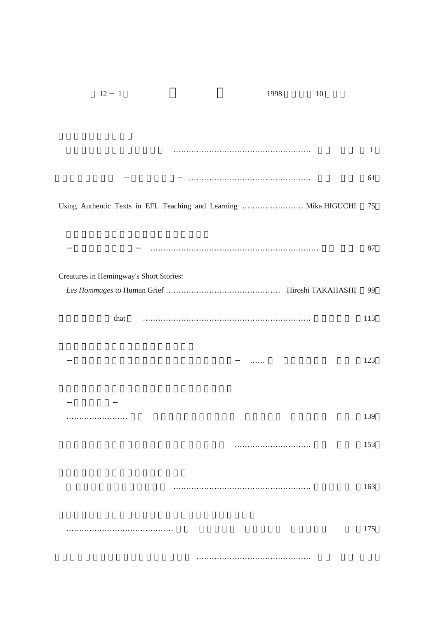| 12<br>$\overline{1}$                                             |   | 1998 | 10 |              |
|------------------------------------------------------------------|---|------|----|--------------|
|                                                                  |   |      |    |              |
|                                                                  |   |      |    |              |
|                                                                  |   |      |    | $\mathbf{1}$ |
|                                                                  |   |      |    | 61           |
|                                                                  |   |      |    |              |
| Using Authentic Texts in EFL Teaching and Learning  Mika HIGUCHI |   |      |    | 75           |
|                                                                  |   |      |    |              |
|                                                                  |   |      |    | 87           |
| Creatures in Hemingway's Short Stories:                          |   |      |    |              |
|                                                                  |   |      |    | 99           |
|                                                                  |   |      |    |              |
| that                                                             |   |      |    | 113          |
|                                                                  |   |      |    |              |
|                                                                  | . |      |    | 123          |
|                                                                  |   |      |    |              |
|                                                                  |   |      |    |              |
|                                                                  |   |      |    | 139          |
|                                                                  |   |      |    | 153          |
|                                                                  |   |      |    |              |
|                                                                  |   |      |    |              |
|                                                                  |   |      |    | 163          |
|                                                                  |   |      |    |              |
|                                                                  |   |      |    | 175          |
|                                                                  |   |      |    |              |
|                                                                  |   |      |    |              |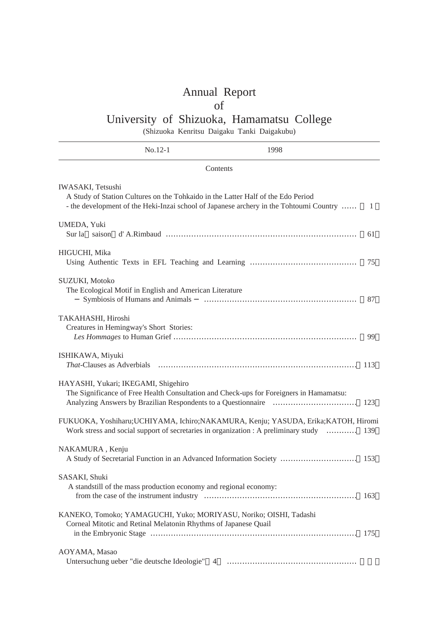## Annual Report

## of

## University of Shizuoka, Hamamatsu College

(Shizuoka Kenritsu Daigaku Tanki Daigakubu)

|                                                        | $No.12-1$                                                                                  | 1998                                                                                                                                                                       |     |
|--------------------------------------------------------|--------------------------------------------------------------------------------------------|----------------------------------------------------------------------------------------------------------------------------------------------------------------------------|-----|
|                                                        |                                                                                            | Contents                                                                                                                                                                   |     |
| <b>IWASAKI</b> , Tetsushi                              |                                                                                            | A Study of Station Cultures on the Tohkaido in the Latter Half of the Edo Period<br>- the development of the Heki-Inzai school of Japanese archery in the Tohtoumi Country | 1   |
| UMEDA, Yuki<br>Sur la saison                           |                                                                                            |                                                                                                                                                                            | 61  |
| HIGUCHI, Mika                                          |                                                                                            |                                                                                                                                                                            | 75  |
| SUZUKI, Motoko                                         | The Ecological Motif in English and American Literature<br>Symbiosis of Humans and Animals |                                                                                                                                                                            | 87  |
| TAKAHASHI, Hiroshi                                     | Creatures in Hemingway's Short Stories:                                                    |                                                                                                                                                                            | 99  |
| ISHIKAWA, Miyuki<br><i>That</i> -Clauses as Adverbials |                                                                                            |                                                                                                                                                                            | 113 |
|                                                        | HAYASHI, Yukari; IKEGAMI, Shigehiro                                                        | The Significance of Free Health Consultation and Check-ups for Foreigners in Hamamatsu:                                                                                    | 123 |
|                                                        |                                                                                            | FUKUOKA, Yoshiharu; UCHIYAMA, Ichiro; NAKAMURA, Kenju; YASUDA, Erika; KATOH, Hiromi<br>Work stress and social support of secretaries in organization : A preliminary study | 139 |
| NAKAMURA, Kenju                                        |                                                                                            | A Study of Secretarial Function in an Advanced Information Society                                                                                                         | 153 |
| SASAKI, Shuki                                          | A standstill of the mass production economy and regional economy:                          |                                                                                                                                                                            | 163 |
|                                                        | Corneal Mitotic and Retinal Melatonin Rhythms of Japanese Quail                            | KANEKO, Tomoko; YAMAGUCHI, Yuko; MORIYASU, Noriko; OISHI, Tadashi                                                                                                          | 175 |
| AOYAMA, Masao                                          | Untersuchung ueber "die deutsche Ideologie"                                                | 4                                                                                                                                                                          |     |